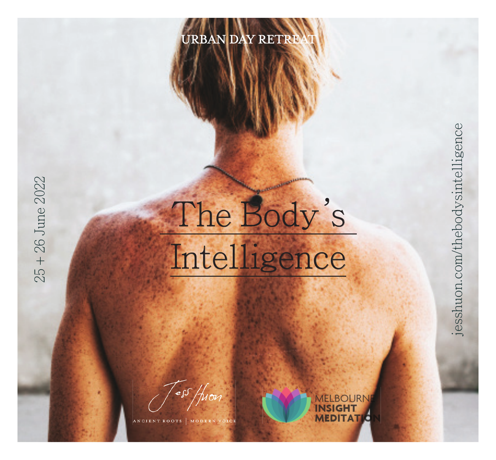

## The Body's Intelligence

**NSIGHT MEDITAT** 

25 + 26 June 2022

25 + 26 June 2022